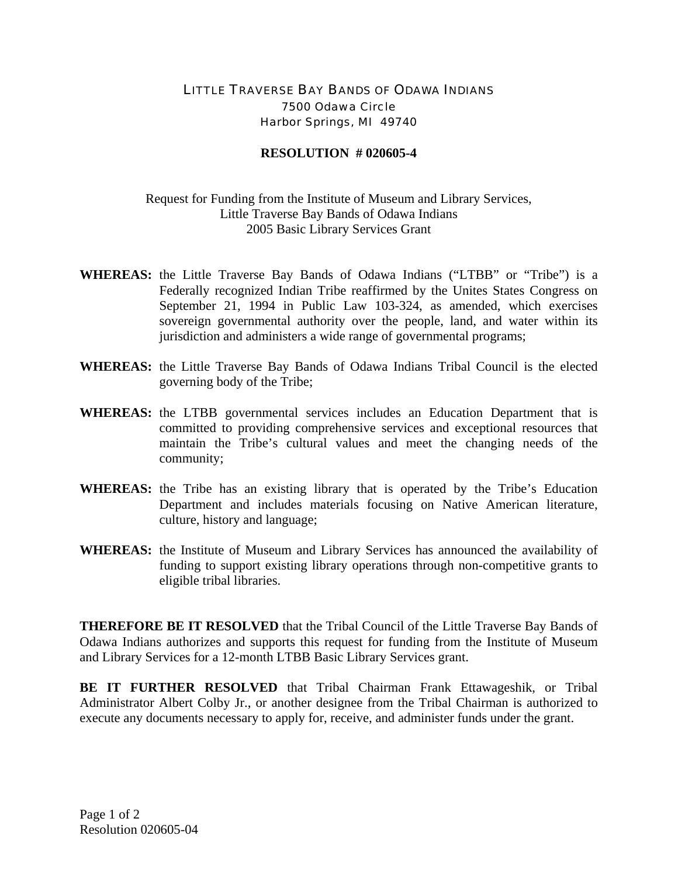## LITTLE TRAVERSE BAY BANDS OF ODAWA INDIANS 7500 Odawa Circle Harbor Springs, MI 49740

## **RESOLUTION # 020605-4**

## Request for Funding from the Institute of Museum and Library Services, Little Traverse Bay Bands of Odawa Indians 2005 Basic Library Services Grant

- **WHEREAS:** the Little Traverse Bay Bands of Odawa Indians ("LTBB" or "Tribe") is a Federally recognized Indian Tribe reaffirmed by the Unites States Congress on September 21, 1994 in Public Law 103-324, as amended, which exercises sovereign governmental authority over the people, land, and water within its jurisdiction and administers a wide range of governmental programs;
- **WHEREAS:** the Little Traverse Bay Bands of Odawa Indians Tribal Council is the elected governing body of the Tribe;
- **WHEREAS:** the LTBB governmental services includes an Education Department that is committed to providing comprehensive services and exceptional resources that maintain the Tribe's cultural values and meet the changing needs of the community;
- **WHEREAS:** the Tribe has an existing library that is operated by the Tribe's Education Department and includes materials focusing on Native American literature, culture, history and language;
- **WHEREAS:** the Institute of Museum and Library Services has announced the availability of funding to support existing library operations through non-competitive grants to eligible tribal libraries.

**THEREFORE BE IT RESOLVED** that the Tribal Council of the Little Traverse Bay Bands of Odawa Indians authorizes and supports this request for funding from the Institute of Museum and Library Services for a 12-month LTBB Basic Library Services grant.

**BE IT FURTHER RESOLVED** that Tribal Chairman Frank Ettawageshik, or Tribal Administrator Albert Colby Jr., or another designee from the Tribal Chairman is authorized to execute any documents necessary to apply for, receive, and administer funds under the grant.